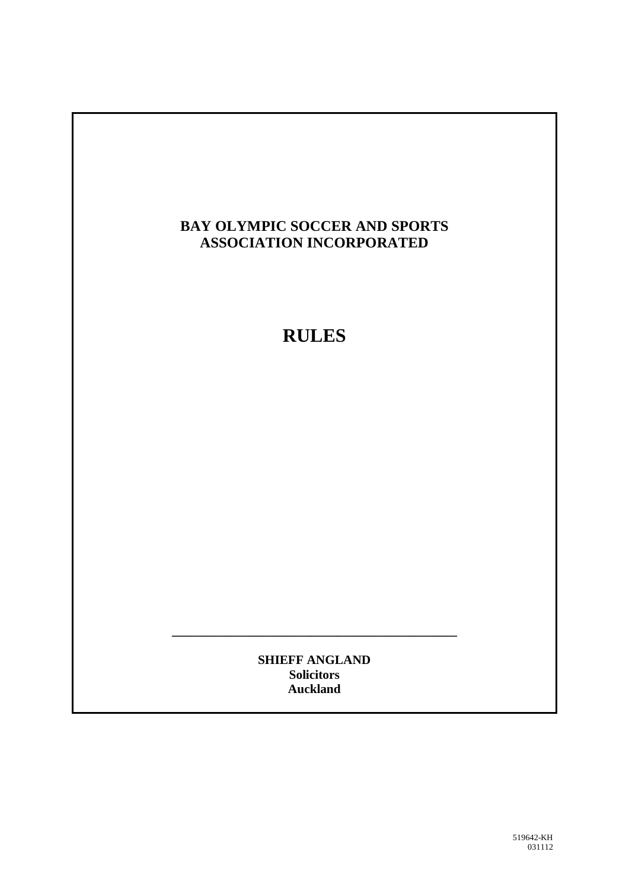## **BAY OLYMPIC SOCCER AND SPORTS ASSOCIATION INCORPORATED**

# **RULES**

**SHIEFF ANGLAND Solicitors Auckland**

**\_\_\_\_\_\_\_\_\_\_\_\_\_\_\_\_\_\_\_\_\_\_\_\_\_\_\_\_\_\_\_\_\_\_\_\_\_\_\_\_\_\_\_\_\_**

519642-KH 031112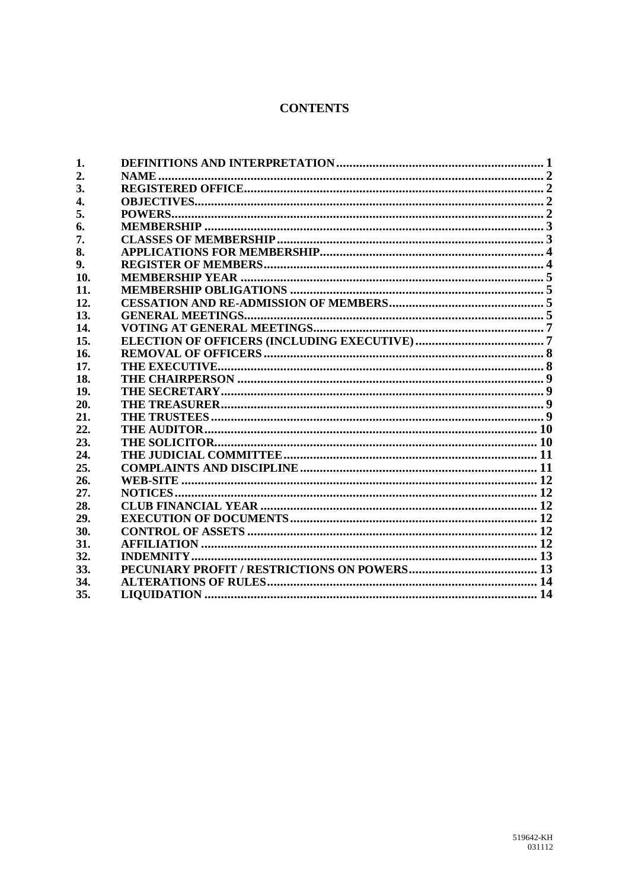#### **CONTENTS**

| 1.               |                                                    |  |
|------------------|----------------------------------------------------|--|
| 2.               |                                                    |  |
| 3.               |                                                    |  |
| $\overline{4}$ . |                                                    |  |
| 5.               |                                                    |  |
| 6.               |                                                    |  |
| 7.               |                                                    |  |
| 8.               |                                                    |  |
| 9.               |                                                    |  |
| 10.              |                                                    |  |
| 11.              |                                                    |  |
| 12.              |                                                    |  |
| 13.              |                                                    |  |
| 14.              |                                                    |  |
| 15.              |                                                    |  |
| 16.              |                                                    |  |
| 17.              |                                                    |  |
| 18.              |                                                    |  |
| 19.              |                                                    |  |
| 20.              |                                                    |  |
| 21.              |                                                    |  |
| 22.              |                                                    |  |
| 23.              |                                                    |  |
| 24.              |                                                    |  |
| 25.              |                                                    |  |
| 26.              |                                                    |  |
| 27.              |                                                    |  |
| 28.              |                                                    |  |
| 29.              |                                                    |  |
| 30.              |                                                    |  |
| 31.              |                                                    |  |
| 32.              |                                                    |  |
| 33.              |                                                    |  |
| 34.              |                                                    |  |
| 35.              | LIQUIDATION …………………………………………………………………………………………… 14 |  |
|                  |                                                    |  |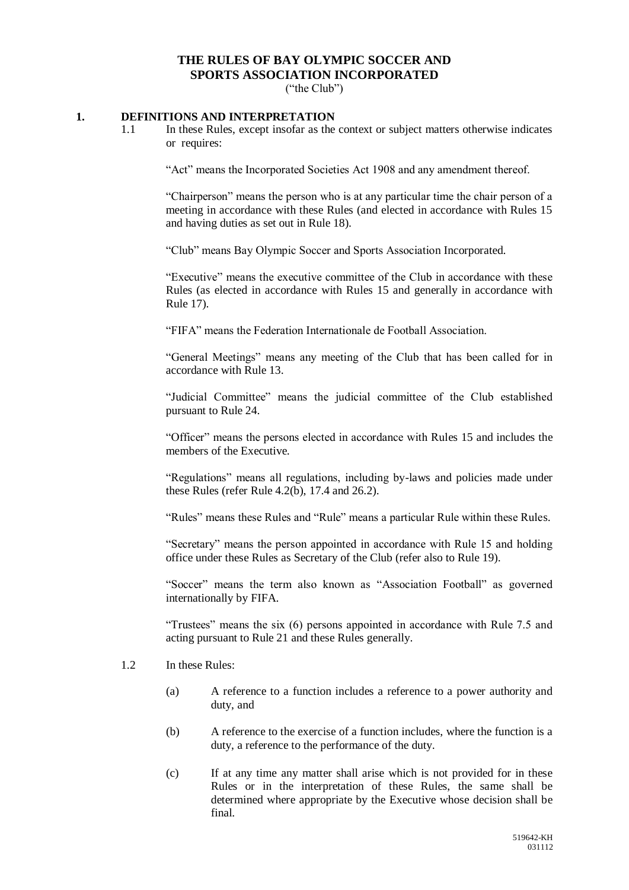### **THE RULES OF BAY OLYMPIC SOCCER AND SPORTS ASSOCIATION INCORPORATED**

("the Club")

#### <span id="page-2-0"></span>**1. DEFINITIONS AND INTERPRETATION**

1.1 In these Rules, except insofar as the context or subject matters otherwise indicates or requires:

"Act" means the Incorporated Societies Act 1908 and any amendment thereof.

"Chairperson" means the person who is at any particular time the chair person of a meeting in accordance with these Rules (and elected in accordance with Rules 15 and having duties as set out in Rule 18).

"Club" means Bay Olympic Soccer and Sports Association Incorporated.

"Executive" means the executive committee of the Club in accordance with these Rules (as elected in accordance with Rules 15 and generally in accordance with Rule 17).

"FIFA" means the Federation Internationale de Football Association.

"General Meetings" means any meeting of the Club that has been called for in accordance with Rule 13.

"Judicial Committee" means the judicial committee of the Club established pursuant to Rule 24.

"Officer" means the persons elected in accordance with Rules 15 and includes the members of the Executive.

"Regulations" means all regulations, including by-laws and policies made under these Rules (refer Rule 4.2(b), 17.4 and 26.2).

"Rules" means these Rules and "Rule" means a particular Rule within these Rules.

"Secretary" means the person appointed in accordance with Rule 15 and holding office under these Rules as Secretary of the Club (refer also to Rule 19).

"Soccer" means the term also known as "Association Football" as governed internationally by FIFA.

"Trustees" means the six (6) persons appointed in accordance with Rule 7.5 and acting pursuant to Rule 21 and these Rules generally.

- 1.2 In these Rules:
	- (a) A reference to a function includes a reference to a power authority and duty, and
	- (b) A reference to the exercise of a function includes, where the function is a duty, a reference to the performance of the duty.
	- (c) If at any time any matter shall arise which is not provided for in these Rules or in the interpretation of these Rules, the same shall be determined where appropriate by the Executive whose decision shall be final.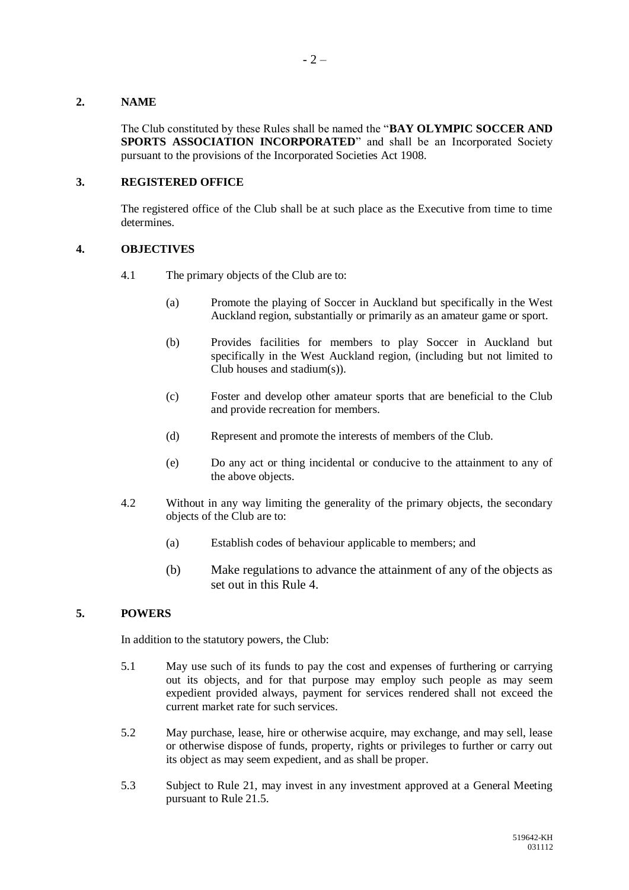#### <span id="page-3-0"></span>**2. NAME**

The Club constituted by these Rules shall be named the "**BAY OLYMPIC SOCCER AND SPORTS ASSOCIATION INCORPORATED**" and shall be an Incorporated Society pursuant to the provisions of the Incorporated Societies Act 1908.

#### <span id="page-3-1"></span>**3. REGISTERED OFFICE**

The registered office of the Club shall be at such place as the Executive from time to time determines.

#### <span id="page-3-2"></span>**4. OBJECTIVES**

- 4.1 The primary objects of the Club are to:
	- (a) Promote the playing of Soccer in Auckland but specifically in the West Auckland region, substantially or primarily as an amateur game or sport.
	- (b) Provides facilities for members to play Soccer in Auckland but specifically in the West Auckland region, (including but not limited to Club houses and stadium(s)).
	- (c) Foster and develop other amateur sports that are beneficial to the Club and provide recreation for members.
	- (d) Represent and promote the interests of members of the Club.
	- (e) Do any act or thing incidental or conducive to the attainment to any of the above objects.
- 4.2 Without in any way limiting the generality of the primary objects, the secondary objects of the Club are to:
	- (a) Establish codes of behaviour applicable to members; and
	- (b) Make regulations to advance the attainment of any of the objects as set out in this Rule [4.](#page-3-2)

#### <span id="page-3-3"></span>**5. POWERS**

In addition to the statutory powers, the Club:

- 5.1 May use such of its funds to pay the cost and expenses of furthering or carrying out its objects, and for that purpose may employ such people as may seem expedient provided always, payment for services rendered shall not exceed the current market rate for such services.
- 5.2 May purchase, lease, hire or otherwise acquire, may exchange, and may sell, lease or otherwise dispose of funds, property, rights or privileges to further or carry out its object as may seem expedient, and as shall be proper.
- 5.3 Subject to Rule 21, may invest in any investment approved at a General Meeting pursuant to Rule 21.5.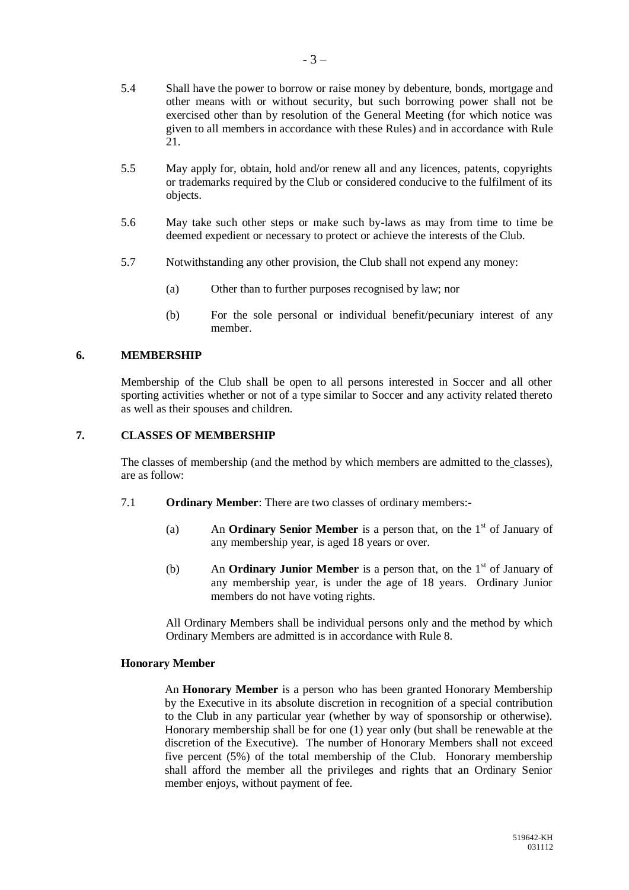- 5.4 Shall have the power to borrow or raise money by debenture, bonds, mortgage and other means with or without security, but such borrowing power shall not be exercised other than by resolution of the General Meeting (for which notice was given to all members in accordance with these Rules) and in accordance with Rule 21.
- 5.5 May apply for, obtain, hold and/or renew all and any licences, patents, copyrights or trademarks required by the Club or considered conducive to the fulfilment of its objects.
- 5.6 May take such other steps or make such by-laws as may from time to time be deemed expedient or necessary to protect or achieve the interests of the Club.
- 5.7 Notwithstanding any other provision, the Club shall not expend any money:
	- (a) Other than to further purposes recognised by law; nor
	- (b) For the sole personal or individual benefit/pecuniary interest of any member.

#### <span id="page-4-0"></span>**6. MEMBERSHIP**

Membership of the Club shall be open to all persons interested in Soccer and all other sporting activities whether or not of a type similar to Soccer and any activity related thereto as well as their spouses and children.

#### <span id="page-4-1"></span>**7. CLASSES OF MEMBERSHIP**

The classes of membership (and the method by which members are admitted to the classes), are as follow:

- 7.1 **Ordinary Member**: There are two classes of ordinary members:-
	- (a) An **Ordinary Senior Member** is a person that, on the  $1<sup>st</sup>$  of January of any membership year, is aged 18 years or over.
	- (b) An **Ordinary Junior Member** is a person that, on the  $1<sup>st</sup>$  of January of any membership year, is under the age of 18 years. Ordinary Junior members do not have voting rights.

All Ordinary Members shall be individual persons only and the method by which Ordinary Members are admitted is in accordance with Rule 8.

#### **Honorary Member**

An **Honorary Member** is a person who has been granted Honorary Membership by the Executive in its absolute discretion in recognition of a special contribution to the Club in any particular year (whether by way of sponsorship or otherwise). Honorary membership shall be for one (1) year only (but shall be renewable at the discretion of the Executive). The number of Honorary Members shall not exceed five percent (5%) of the total membership of the Club. Honorary membership shall afford the member all the privileges and rights that an Ordinary Senior member enjoys, without payment of fee.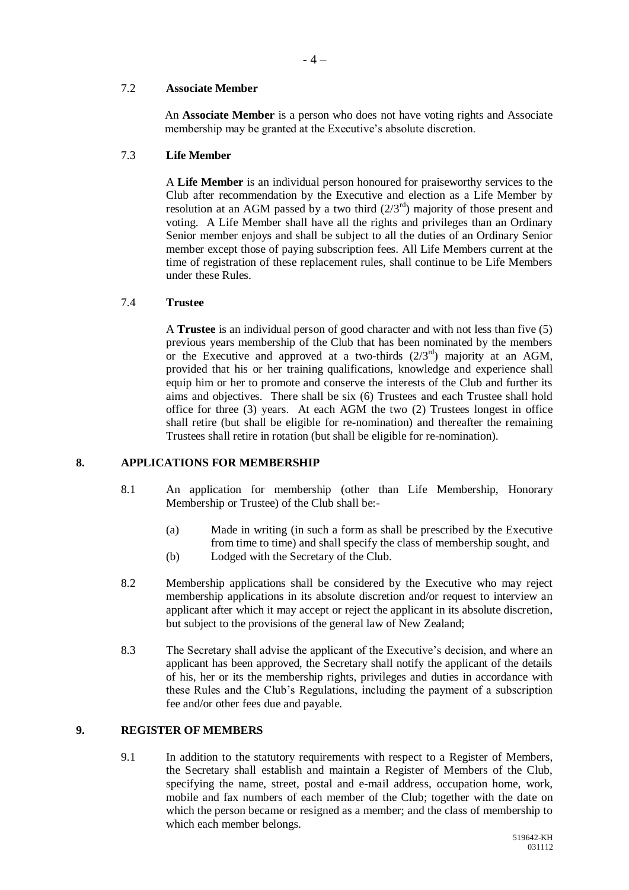#### 7.2 **Associate Member**

An **Associate Member** is a person who does not have voting rights and Associate membership may be granted at the Executive's absolute discretion.

#### 7.3 **Life Member**

A **Life Member** is an individual person honoured for praiseworthy services to the Club after recommendation by the Executive and election as a Life Member by resolution at an AGM passed by a two third  $(2/3<sup>rd</sup>)$  majority of those present and voting. A Life Member shall have all the rights and privileges than an Ordinary Senior member enjoys and shall be subject to all the duties of an Ordinary Senior member except those of paying subscription fees. All Life Members current at the time of registration of these replacement rules, shall continue to be Life Members under these Rules.

#### 7.4 **Trustee**

A **Trustee** is an individual person of good character and with not less than five (5) previous years membership of the Club that has been nominated by the members or the Executive and approved at a two-thirds  $(2/3^{rd})$  majority at an AGM, provided that his or her training qualifications, knowledge and experience shall equip him or her to promote and conserve the interests of the Club and further its aims and objectives. There shall be six (6) Trustees and each Trustee shall hold office for three (3) years. At each AGM the two (2) Trustees longest in office shall retire (but shall be eligible for re-nomination) and thereafter the remaining Trustees shall retire in rotation (but shall be eligible for re-nomination).

#### <span id="page-5-0"></span>**8. APPLICATIONS FOR MEMBERSHIP**

- 8.1 An application for membership (other than Life Membership, Honorary Membership or Trustee) of the Club shall be:-
	- (a) Made in writing (in such a form as shall be prescribed by the Executive from time to time) and shall specify the class of membership sought, and (b) Lodged with the Secretary of the Club.
- 8.2 Membership applications shall be considered by the Executive who may reject membership applications in its absolute discretion and/or request to interview an applicant after which it may accept or reject the applicant in its absolute discretion,

but subject to the provisions of the general law of New Zealand;

8.3 The Secretary shall advise the applicant of the Executive's decision, and where an applicant has been approved, the Secretary shall notify the applicant of the details of his, her or its the membership rights, privileges and duties in accordance with these Rules and the Club's Regulations, including the payment of a subscription fee and/or other fees due and payable.

#### <span id="page-5-1"></span>**9. REGISTER OF MEMBERS**

9.1 In addition to the statutory requirements with respect to a Register of Members, the Secretary shall establish and maintain a Register of Members of the Club, specifying the name, street, postal and e-mail address, occupation home, work, mobile and fax numbers of each member of the Club; together with the date on which the person became or resigned as a member; and the class of membership to which each member belongs.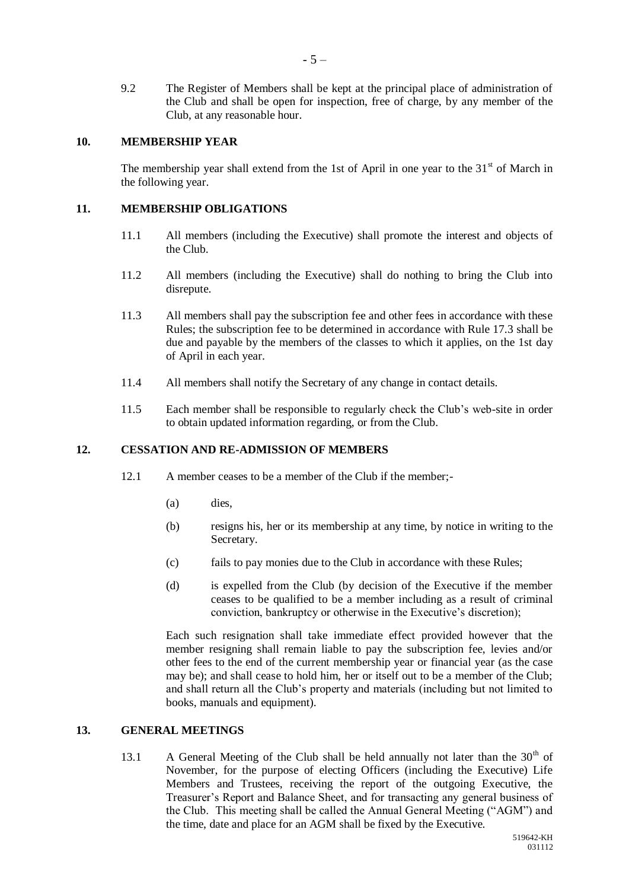9.2 The Register of Members shall be kept at the principal place of administration of the Club and shall be open for inspection, free of charge, by any member of the Club, at any reasonable hour.

#### <span id="page-6-0"></span>**10. MEMBERSHIP YEAR**

The membership year shall extend from the 1st of April in one year to the  $31<sup>st</sup>$  of March in the following year.

#### <span id="page-6-1"></span>**11. MEMBERSHIP OBLIGATIONS**

- 11.1 All members (including the Executive) shall promote the interest and objects of the Club.
- 11.2 All members (including the Executive) shall do nothing to bring the Club into disrepute.
- 11.3 All members shall pay the subscription fee and other fees in accordance with these Rules; the subscription fee to be determined in accordance with Rule 17.3 shall be due and payable by the members of the classes to which it applies, on the 1st day of April in each year.
- 11.4 All members shall notify the Secretary of any change in contact details.
- 11.5 Each member shall be responsible to regularly check the Club's web-site in order to obtain updated information regarding, or from the Club.

#### <span id="page-6-2"></span>**12. CESSATION AND RE-ADMISSION OF MEMBERS**

- 12.1 A member ceases to be a member of the Club if the member;-
	- (a) dies,
	- (b) resigns his, her or its membership at any time, by notice in writing to the Secretary.
	- (c) fails to pay monies due to the Club in accordance with these Rules;
	- (d) is expelled from the Club (by decision of the Executive if the member ceases to be qualified to be a member including as a result of criminal conviction, bankruptcy or otherwise in the Executive's discretion);

Each such resignation shall take immediate effect provided however that the member resigning shall remain liable to pay the subscription fee, levies and/or other fees to the end of the current membership year or financial year (as the case may be); and shall cease to hold him, her or itself out to be a member of the Club; and shall return all the Club's property and materials (including but not limited to books, manuals and equipment).

#### <span id="page-6-3"></span>**13. GENERAL MEETINGS**

13.1 A General Meeting of the Club shall be held annually not later than the  $30<sup>th</sup>$  of November, for the purpose of electing Officers (including the Executive) Life Members and Trustees, receiving the report of the outgoing Executive, the Treasurer's Report and Balance Sheet, and for transacting any general business of the Club. This meeting shall be called the Annual General Meeting ("AGM") and the time, date and place for an AGM shall be fixed by the Executive.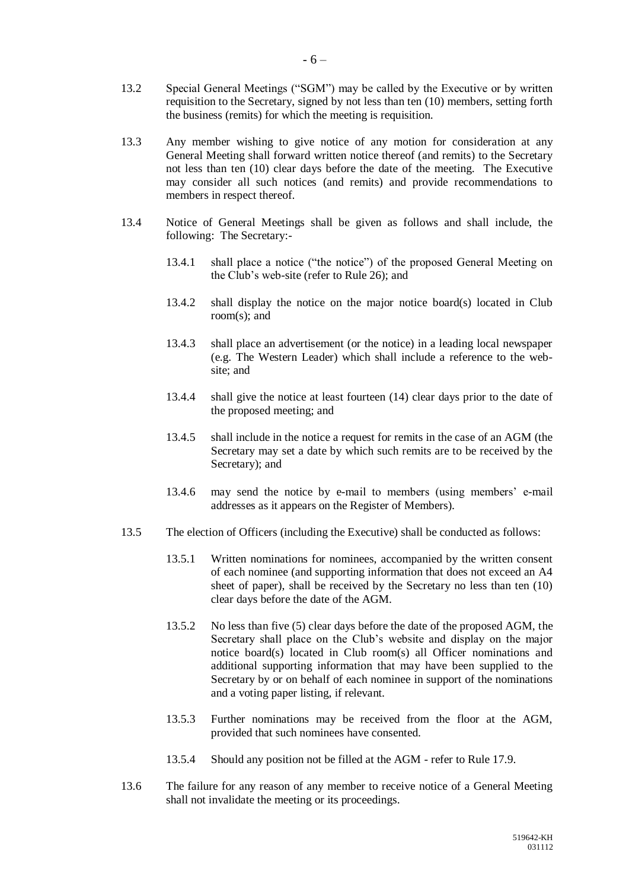- 13.2 Special General Meetings ("SGM") may be called by the Executive or by written requisition to the Secretary, signed by not less than ten (10) members, setting forth the business (remits) for which the meeting is requisition.
- 13.3 Any member wishing to give notice of any motion for consideration at any General Meeting shall forward written notice thereof (and remits) to the Secretary not less than ten (10) clear days before the date of the meeting. The Executive may consider all such notices (and remits) and provide recommendations to members in respect thereof.
- 13.4 Notice of General Meetings shall be given as follows and shall include, the following: The Secretary:-
	- 13.4.1 shall place a notice ("the notice") of the proposed General Meeting on the Club's web-site (refer to Rule 26); and
	- 13.4.2 shall display the notice on the major notice board(s) located in Club room(s); and
	- 13.4.3 shall place an advertisement (or the notice) in a leading local newspaper (e.g. The Western Leader) which shall include a reference to the website; and
	- 13.4.4 shall give the notice at least fourteen (14) clear days prior to the date of the proposed meeting; and
	- 13.4.5 shall include in the notice a request for remits in the case of an AGM (the Secretary may set a date by which such remits are to be received by the Secretary); and
	- 13.4.6 may send the notice by e-mail to members (using members' e-mail addresses as it appears on the Register of Members).
- <span id="page-7-0"></span>13.5 The election of Officers (including the Executive) shall be conducted as follows:
	- 13.5.1 Written nominations for nominees, accompanied by the written consent of each nominee (and supporting information that does not exceed an A4 sheet of paper), shall be received by the Secretary no less than ten (10) clear days before the date of the AGM.
	- 13.5.2 No less than five (5) clear days before the date of the proposed AGM, the Secretary shall place on the Club's website and display on the major notice board(s) located in Club room(s) all Officer nominations and additional supporting information that may have been supplied to the Secretary by or on behalf of each nominee in support of the nominations and a voting paper listing, if relevant.
	- 13.5.3 Further nominations may be received from the floor at the AGM, provided that such nominees have consented.
	- 13.5.4 Should any position not be filled at the AGM refer to Rule 17.9.
- 13.6 The failure for any reason of any member to receive notice of a General Meeting shall not invalidate the meeting or its proceedings.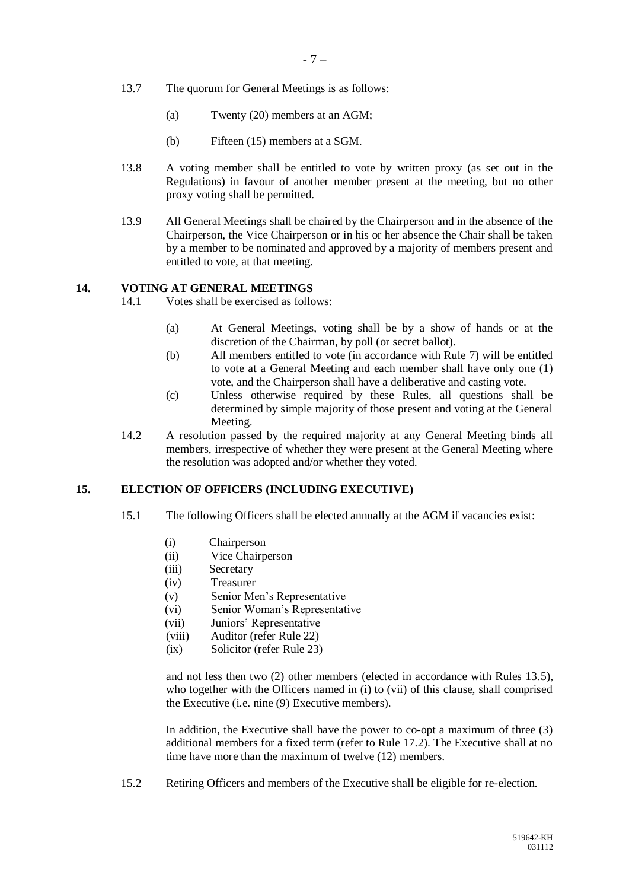- 13.7 The quorum for General Meetings is as follows:
	- (a) Twenty (20) members at an AGM;
	- (b) Fifteen (15) members at a SGM.
- 13.8 A voting member shall be entitled to vote by written proxy (as set out in the Regulations) in favour of another member present at the meeting, but no other proxy voting shall be permitted.
- 13.9 All General Meetings shall be chaired by the Chairperson and in the absence of the Chairperson, the Vice Chairperson or in his or her absence the Chair shall be taken by a member to be nominated and approved by a majority of members present and entitled to vote, at that meeting.

#### <span id="page-8-0"></span>**14. VOTING AT GENERAL MEETINGS**

- 14.1 Votes shall be exercised as follows:
	- (a) At General Meetings, voting shall be by a show of hands or at the discretion of the Chairman, by poll (or secret ballot).
	- (b) All members entitled to vote (in accordance with Rule 7) will be entitled to vote at a General Meeting and each member shall have only one (1) vote, and the Chairperson shall have a deliberative and casting vote.
	- (c) Unless otherwise required by these Rules, all questions shall be determined by simple majority of those present and voting at the General Meeting.
- 14.2 A resolution passed by the required majority at any General Meeting binds all members, irrespective of whether they were present at the General Meeting where the resolution was adopted and/or whether they voted.

#### <span id="page-8-1"></span>**15. ELECTION OF OFFICERS (INCLUDING EXECUTIVE)**

- 15.1 The following Officers shall be elected annually at the AGM if vacancies exist:
	- (i) Chairperson
	- (ii) Vice Chairperson
	- (iii) Secretary
	- (iv) Treasurer
	- (v) Senior Men's Representative
	- (vi) Senior Woman's Representative
	- (vii) Juniors' Representative
	- (viii) Auditor (refer Rule 22)
	- (ix) Solicitor (refer Rule 23)

and not less then two (2) other members (elected in accordance with Rules 13.5), who together with the Officers named in (i) to (vii) of this clause, shall comprised the Executive (i.e. nine (9) Executive members).

In addition, the Executive shall have the power to co-opt a maximum of three (3) additional members for a fixed term (refer to Rule 17.2). The Executive shall at no time have more than the maximum of twelve (12) members.

15.2 Retiring Officers and members of the Executive shall be eligible for re-election.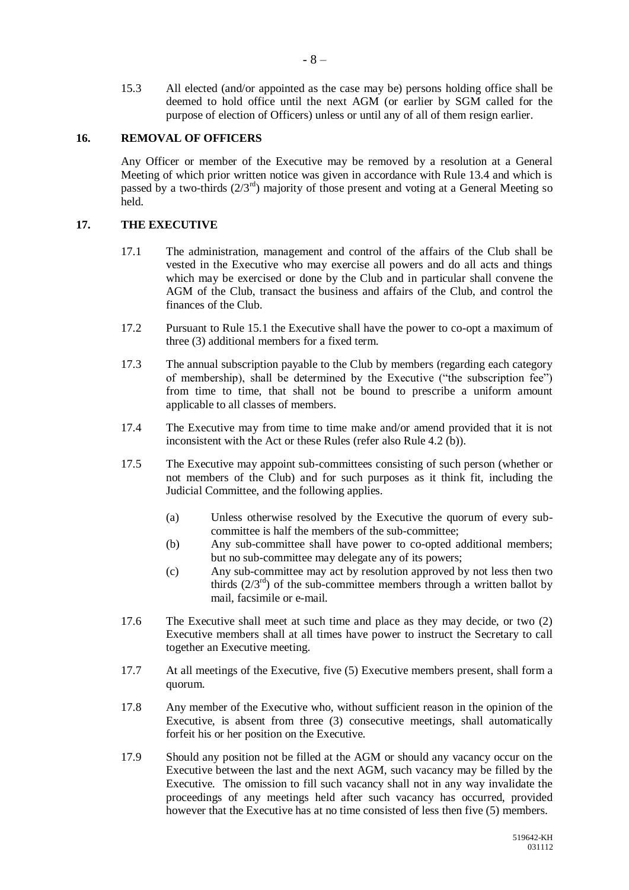15.3 All elected (and/or appointed as the case may be) persons holding office shall be deemed to hold office until the next AGM (or earlier by SGM called for the purpose of election of Officers) unless or until any of all of them resign earlier.

#### <span id="page-9-0"></span>**16. REMOVAL OF OFFICERS**

Any Officer or member of the Executive may be removed by a resolution at a General Meeting of which prior written notice was given in accordance with Rule 13.4 and which is passed by a two-thirds  $(2/3^{rd})$  majority of those present and voting at a General Meeting so held.

#### <span id="page-9-1"></span>**17. THE EXECUTIVE**

- 17.1 The administration, management and control of the affairs of the Club shall be vested in the Executive who may exercise all powers and do all acts and things which may be exercised or done by the Club and in particular shall convene the AGM of the Club, transact the business and affairs of the Club, and control the finances of the Club.
- 17.2 Pursuant to Rule 15.1 the Executive shall have the power to co-opt a maximum of three (3) additional members for a fixed term.
- 17.3 The annual subscription payable to the Club by members (regarding each category of membership), shall be determined by the Executive ("the subscription fee") from time to time, that shall not be bound to prescribe a uniform amount applicable to all classes of members.
- 17.4 The Executive may from time to time make and/or amend provided that it is not inconsistent with the Act or these Rules (refer also Rule 4.2 (b)).
- <span id="page-9-2"></span>17.5 The Executive may appoint sub-committees consisting of such person (whether or not members of the Club) and for such purposes as it think fit, including the Judicial Committee, and the following applies.
	- (a) Unless otherwise resolved by the Executive the quorum of every subcommittee is half the members of the sub-committee;
	- (b) Any sub-committee shall have power to co-opted additional members; but no sub-committee may delegate any of its powers;
	- (c) Any sub-committee may act by resolution approved by not less then two thirds  $(2/3<sup>rd</sup>)$  of the sub-committee members through a written ballot by mail, facsimile or e-mail.
- 17.6 The Executive shall meet at such time and place as they may decide, or two (2) Executive members shall at all times have power to instruct the Secretary to call together an Executive meeting.
- 17.7 At all meetings of the Executive, five (5) Executive members present, shall form a quorum.
- 17.8 Any member of the Executive who, without sufficient reason in the opinion of the Executive, is absent from three (3) consecutive meetings, shall automatically forfeit his or her position on the Executive.
- 17.9 Should any position not be filled at the AGM or should any vacancy occur on the Executive between the last and the next AGM, such vacancy may be filled by the Executive. The omission to fill such vacancy shall not in any way invalidate the proceedings of any meetings held after such vacancy has occurred, provided however that the Executive has at no time consisted of less then five (5) members.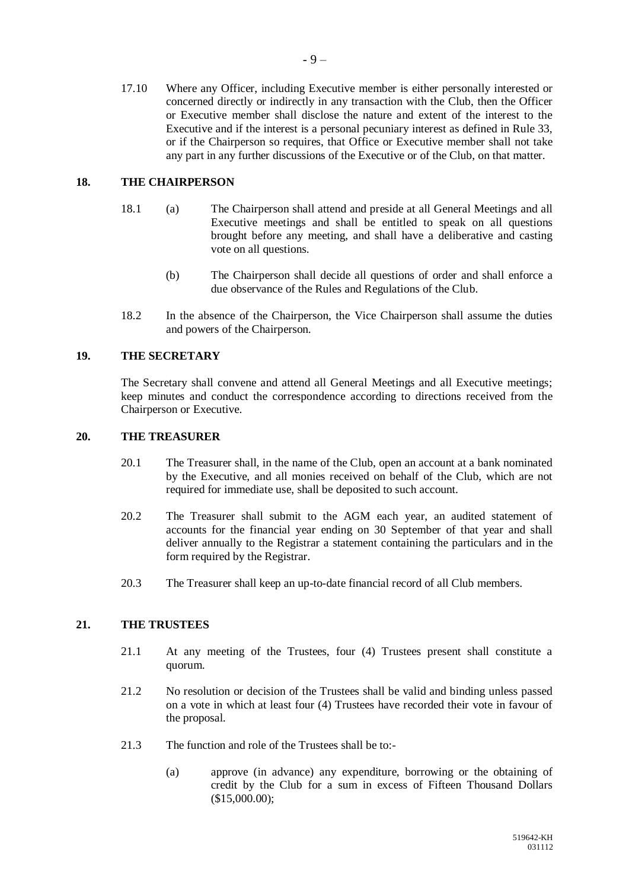17.10 Where any Officer, including Executive member is either personally interested or concerned directly or indirectly in any transaction with the Club, then the Officer or Executive member shall disclose the nature and extent of the interest to the Executive and if the interest is a personal pecuniary interest as defined in Rule 33, or if the Chairperson so requires, that Office or Executive member shall not take any part in any further discussions of the Executive or of the Club, on that matter.

#### <span id="page-10-0"></span>**18. THE CHAIRPERSON**

- 18.1 (a) The Chairperson shall attend and preside at all General Meetings and all Executive meetings and shall be entitled to speak on all questions brought before any meeting, and shall have a deliberative and casting vote on all questions.
	- (b) The Chairperson shall decide all questions of order and shall enforce a due observance of the Rules and Regulations of the Club.
- 18.2 In the absence of the Chairperson, the Vice Chairperson shall assume the duties and powers of the Chairperson.

#### <span id="page-10-1"></span>**19. THE SECRETARY**

The Secretary shall convene and attend all General Meetings and all Executive meetings; keep minutes and conduct the correspondence according to directions received from the Chairperson or Executive.

#### <span id="page-10-2"></span>**20. THE TREASURER**

- 20.1 The Treasurer shall, in the name of the Club, open an account at a bank nominated by the Executive, and all monies received on behalf of the Club, which are not required for immediate use, shall be deposited to such account.
- 20.2 The Treasurer shall submit to the AGM each year, an audited statement of accounts for the financial year ending on 30 September of that year and shall deliver annually to the Registrar a statement containing the particulars and in the form required by the Registrar.
- 20.3 The Treasurer shall keep an up-to-date financial record of all Club members.

#### <span id="page-10-3"></span>**21. THE TRUSTEES**

- 21.1 At any meeting of the Trustees, four (4) Trustees present shall constitute a quorum.
- 21.2 No resolution or decision of the Trustees shall be valid and binding unless passed on a vote in which at least four (4) Trustees have recorded their vote in favour of the proposal.
- 21.3 The function and role of the Trustees shall be to:-
	- (a) approve (in advance) any expenditure, borrowing or the obtaining of credit by the Club for a sum in excess of Fifteen Thousand Dollars (\$15,000.00);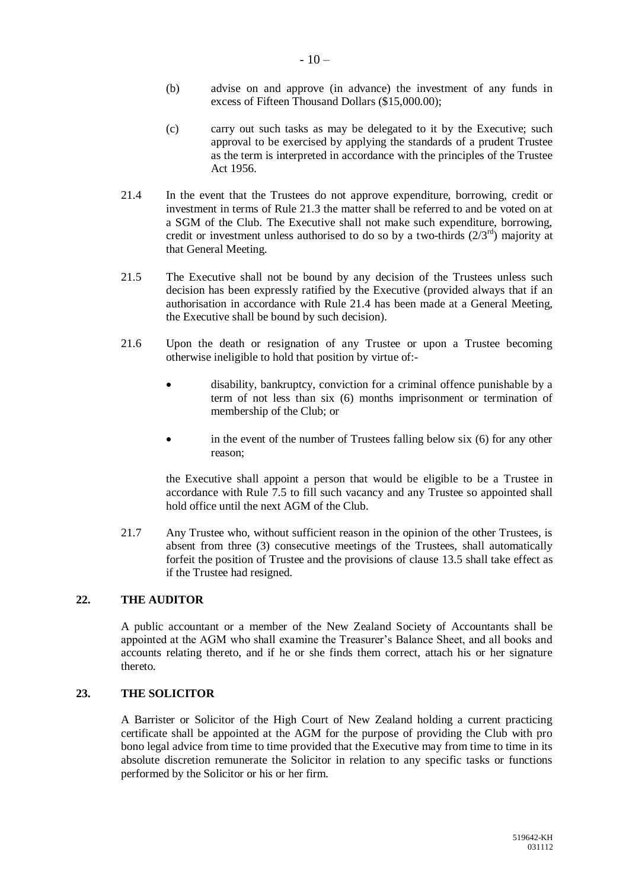- (b) advise on and approve (in advance) the investment of any funds in excess of Fifteen Thousand Dollars (\$15,000.00);
- (c) carry out such tasks as may be delegated to it by the Executive; such approval to be exercised by applying the standards of a prudent Trustee as the term is interpreted in accordance with the principles of the Trustee Act 1956.
- 21.4 In the event that the Trustees do not approve expenditure, borrowing, credit or investment in terms of Rule 21.3 the matter shall be referred to and be voted on at a SGM of the Club. The Executive shall not make such expenditure, borrowing, credit or investment unless authorised to do so by a two-thirds  $(2/3<sup>rd</sup>)$  majority at that General Meeting.
- 21.5 The Executive shall not be bound by any decision of the Trustees unless such decision has been expressly ratified by the Executive (provided always that if an authorisation in accordance with Rule 21.4 has been made at a General Meeting, the Executive shall be bound by such decision).
- 21.6 Upon the death or resignation of any Trustee or upon a Trustee becoming otherwise ineligible to hold that position by virtue of:
	- disability, bankruptcy, conviction for a criminal offence punishable by a term of not less than six (6) months imprisonment or termination of membership of the Club; or
	- in the event of the number of Trustees falling below six (6) for any other reason;

the Executive shall appoint a person that would be eligible to be a Trustee in accordance with Rule 7.5 to fill such vacancy and any Trustee so appointed shall hold office until the next AGM of the Club.

21.7 Any Trustee who, without sufficient reason in the opinion of the other Trustees, is absent from three (3) consecutive meetings of the Trustees, shall automatically forfeit the position of Trustee and the provisions of clause [13.5](#page-7-0) shall take effect as if the Trustee had resigned.

#### <span id="page-11-0"></span>**22. THE AUDITOR**

A public accountant or a member of the New Zealand Society of Accountants shall be appointed at the AGM who shall examine the Treasurer's Balance Sheet, and all books and accounts relating thereto, and if he or she finds them correct, attach his or her signature thereto.

#### <span id="page-11-1"></span>**23. THE SOLICITOR**

A Barrister or Solicitor of the High Court of New Zealand holding a current practicing certificate shall be appointed at the AGM for the purpose of providing the Club with pro bono legal advice from time to time provided that the Executive may from time to time in its absolute discretion remunerate the Solicitor in relation to any specific tasks or functions performed by the Solicitor or his or her firm.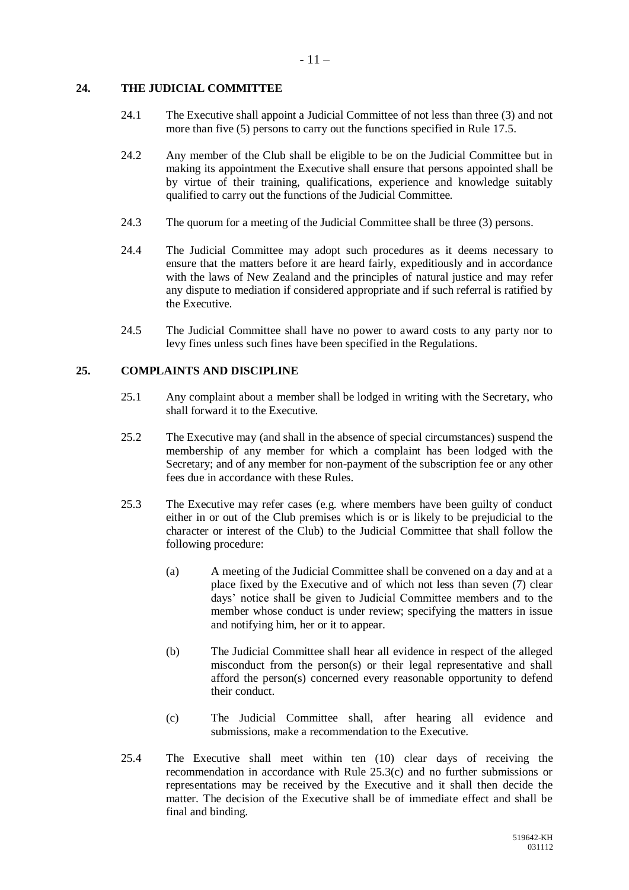#### <span id="page-12-0"></span>**24. THE JUDICIAL COMMITTEE**

- 24.1 The Executive shall appoint a Judicial Committee of not less than three (3) and not more than five (5) persons to carry out the functions specified in Rule [17.5.](#page-9-2)
- 24.2 Any member of the Club shall be eligible to be on the Judicial Committee but in making its appointment the Executive shall ensure that persons appointed shall be by virtue of their training, qualifications, experience and knowledge suitably qualified to carry out the functions of the Judicial Committee.
- 24.3 The quorum for a meeting of the Judicial Committee shall be three (3) persons.
- 24.4 The Judicial Committee may adopt such procedures as it deems necessary to ensure that the matters before it are heard fairly, expeditiously and in accordance with the laws of New Zealand and the principles of natural justice and may refer any dispute to mediation if considered appropriate and if such referral is ratified by the Executive.
- 24.5 The Judicial Committee shall have no power to award costs to any party nor to levy fines unless such fines have been specified in the Regulations.

#### <span id="page-12-1"></span>**25. COMPLAINTS AND DISCIPLINE**

- 25.1 Any complaint about a member shall be lodged in writing with the Secretary, who shall forward it to the Executive.
- 25.2 The Executive may (and shall in the absence of special circumstances) suspend the membership of any member for which a complaint has been lodged with the Secretary; and of any member for non-payment of the subscription fee or any other fees due in accordance with these Rules.
- 25.3 The Executive may refer cases (e.g. where members have been guilty of conduct either in or out of the Club premises which is or is likely to be prejudicial to the character or interest of the Club) to the Judicial Committee that shall follow the following procedure:
	- (a) A meeting of the Judicial Committee shall be convened on a day and at a place fixed by the Executive and of which not less than seven (7) clear days' notice shall be given to Judicial Committee members and to the member whose conduct is under review; specifying the matters in issue and notifying him, her or it to appear.
	- (b) The Judicial Committee shall hear all evidence in respect of the alleged misconduct from the person(s) or their legal representative and shall afford the person(s) concerned every reasonable opportunity to defend their conduct.
	- (c) The Judicial Committee shall, after hearing all evidence and submissions, make a recommendation to the Executive.
- 25.4 The Executive shall meet within ten (10) clear days of receiving the recommendation in accordance with Rule 25.3(c) and no further submissions or representations may be received by the Executive and it shall then decide the matter. The decision of the Executive shall be of immediate effect and shall be final and binding.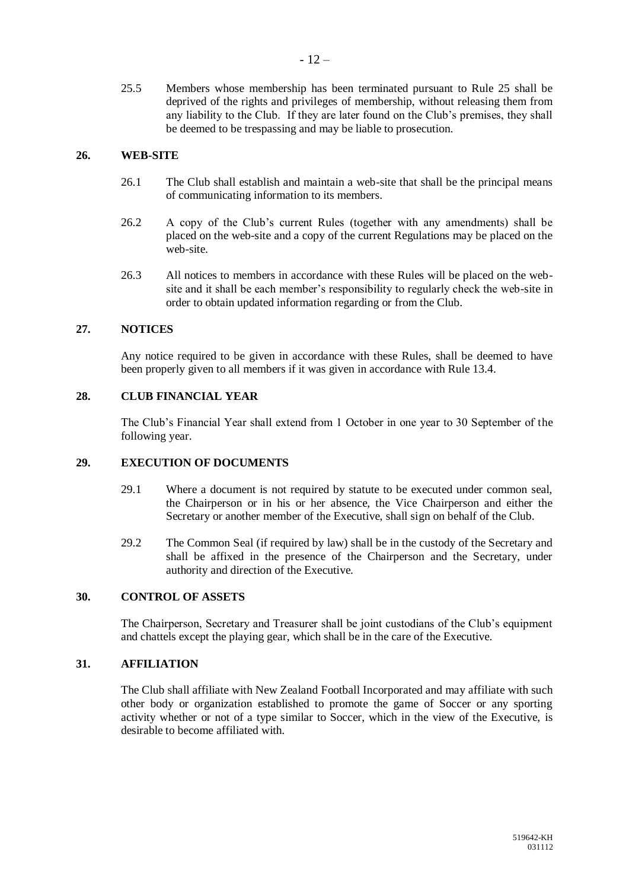25.5 Members whose membership has been terminated pursuant to Rule 25 shall be deprived of the rights and privileges of membership, without releasing them from any liability to the Club. If they are later found on the Club's premises, they shall be deemed to be trespassing and may be liable to prosecution.

#### <span id="page-13-0"></span>**26. WEB-SITE**

- 26.1 The Club shall establish and maintain a web-site that shall be the principal means of communicating information to its members.
- 26.2 A copy of the Club's current Rules (together with any amendments) shall be placed on the web-site and a copy of the current Regulations may be placed on the web-site.
- 26.3 All notices to members in accordance with these Rules will be placed on the website and it shall be each member's responsibility to regularly check the web-site in order to obtain updated information regarding or from the Club.

#### <span id="page-13-1"></span>**27. NOTICES**

Any notice required to be given in accordance with these Rules, shall be deemed to have been properly given to all members if it was given in accordance with Rule 13.4.

#### <span id="page-13-2"></span>**28. CLUB FINANCIAL YEAR**

The Club's Financial Year shall extend from 1 October in one year to 30 September of the following year.

#### <span id="page-13-3"></span>**29. EXECUTION OF DOCUMENTS**

- 29.1 Where a document is not required by statute to be executed under common seal, the Chairperson or in his or her absence, the Vice Chairperson and either the Secretary or another member of the Executive, shall sign on behalf of the Club.
- 29.2 The Common Seal (if required by law) shall be in the custody of the Secretary and shall be affixed in the presence of the Chairperson and the Secretary, under authority and direction of the Executive.

#### <span id="page-13-4"></span>**30. CONTROL OF ASSETS**

The Chairperson, Secretary and Treasurer shall be joint custodians of the Club's equipment and chattels except the playing gear, which shall be in the care of the Executive.

#### <span id="page-13-5"></span>**31. AFFILIATION**

The Club shall affiliate with New Zealand Football Incorporated and may affiliate with such other body or organization established to promote the game of Soccer or any sporting activity whether or not of a type similar to Soccer, which in the view of the Executive, is desirable to become affiliated with.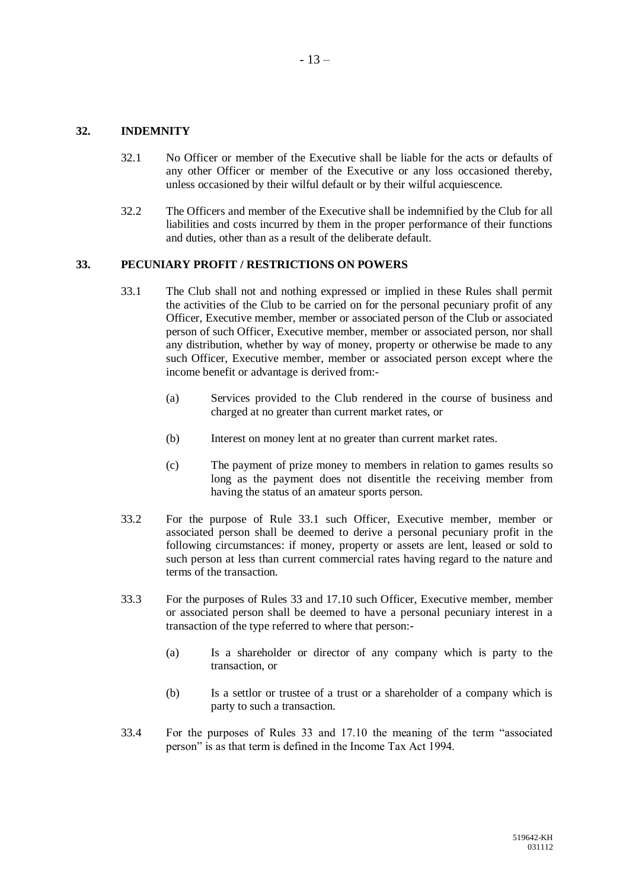#### <span id="page-14-0"></span>**32. INDEMNITY**

- 32.1 No Officer or member of the Executive shall be liable for the acts or defaults of any other Officer or member of the Executive or any loss occasioned thereby, unless occasioned by their wilful default or by their wilful acquiescence.
- 32.2 The Officers and member of the Executive shall be indemnified by the Club for all liabilities and costs incurred by them in the proper performance of their functions and duties, other than as a result of the deliberate default.

#### <span id="page-14-1"></span>**33. PECUNIARY PROFIT / RESTRICTIONS ON POWERS**

- 33.1 The Club shall not and nothing expressed or implied in these Rules shall permit the activities of the Club to be carried on for the personal pecuniary profit of any Officer, Executive member, member or associated person of the Club or associated person of such Officer, Executive member, member or associated person, nor shall any distribution, whether by way of money, property or otherwise be made to any such Officer, Executive member, member or associated person except where the income benefit or advantage is derived from:-
	- (a) Services provided to the Club rendered in the course of business and charged at no greater than current market rates, or
	- (b) Interest on money lent at no greater than current market rates.
	- (c) The payment of prize money to members in relation to games results so long as the payment does not disentitle the receiving member from having the status of an amateur sports person.
- 33.2 For the purpose of Rule 33.1 such Officer, Executive member, member or associated person shall be deemed to derive a personal pecuniary profit in the following circumstances: if money, property or assets are lent, leased or sold to such person at less than current commercial rates having regard to the nature and terms of the transaction.
- 33.3 For the purposes of Rules 33 and 17.10 such Officer, Executive member, member or associated person shall be deemed to have a personal pecuniary interest in a transaction of the type referred to where that person:-
	- (a) Is a shareholder or director of any company which is party to the transaction, or
	- (b) Is a settlor or trustee of a trust or a shareholder of a company which is party to such a transaction.
- 33.4 For the purposes of Rules 33 and 17.10 the meaning of the term "associated person" is as that term is defined in the Income Tax Act 1994.